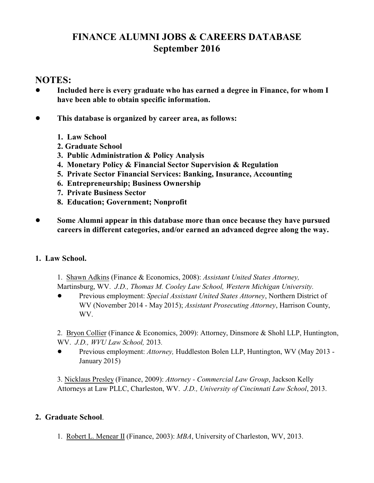# **FINANCE ALUMNI JOBS & CAREERS DATABASE September 2016**

# **NOTES:**

- ! **Included here is every graduate who has earned a degree in Finance, for whom I have been able to obtain specific information.**
- ! **This database is organized by career area, as follows:**
	- **1. Law School**
	- **2. Graduate School**
	- **3. Public Administration & Policy Analysis**
	- **4. Monetary Policy & Financial Sector Supervision & Regulation**
	- **5. Private Sector Financial Services: Banking, Insurance, Accounting**
	- **6. Entrepreneurship; Business Ownership**
	- **7. Private Business Sector**
	- **8. Education; Government; Nonprofit**
- ! **Some Alumni appear in this database more than once because they have pursued careers in different categories, and/or earned an advanced degree along the way.**

# **1. Law School.**

- 1. Shawn Adkins (Finance & Economics, 2008): *Assistant United States Attorney,* Martinsburg, WV. *J.D., Thomas M. Cooley Law School, Western Michigan University.*
- ! Previous employment: *Special Assistant United States Attorney*, Northern District of WV (November 2014 - May 2015); *Assistant Prosecuting Attorney*, Harrison County, WV.

2. Bryon Collier (Finance & Economics, 2009): Attorney, Dinsmore & Shohl LLP, Huntington, WV. *J.D., WVU Law School,* 2013*.*

! Previous employment: *Attorney,* Huddleston Bolen LLP, Huntington, WV (May 2013 - January 2015)

3. Nicklaus Presley (Finance, 2009): *Attorney - Commercial Law Group*, Jackson Kelly Attorneys at Law PLLC, Charleston, WV. *J.D., University of Cincinnati Law School*, 2013.

# **2. Graduate School**.

1. Robert L. Menear II (Finance, 2003): *MBA*, University of Charleston, WV, 2013.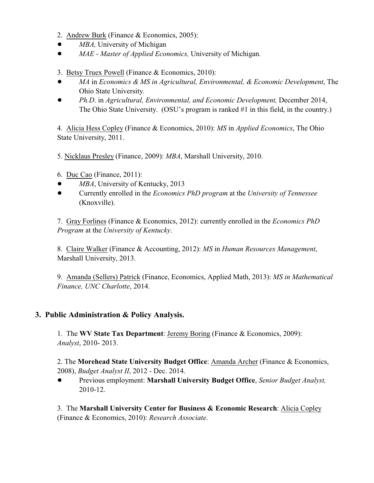- 2. Andrew Burk (Finance & Economics, 2005):
- *MBA*, University of Michigan
- ! *MAE Master of Applied Economics,* University of Michigan*.*
- 3. Betsy Truex Powell (Finance & Economics, 2010):
- ! *MA* in *Economics & MS in Agricultural, Environmental, & Economic Development*, The Ohio State University.
- ! *Ph.D*. in *Agricultural, Environmental, and Economic Development,* December 2014, The Ohio State University. (OSU's program is ranked #1 in this field, in the country.)

4. Alicia Hess Copley (Finance & Economics, 2010): *MS* in *Applied Economics*, The Ohio State University, 2011.

5. Nicklaus Presley (Finance, 2009): *MBA*, Marshall University, 2010.

- 6. Duc Cao (Finance, 2011):
- *MBA*, University of Kentucky, 2013
- ! Currently enrolled in the *Economics PhD program* at the *University of Tennessee* (Knoxville).

7. Gray Forlines (Finance & Economics, 2012): currently enrolled in the *Economics PhD Program* at the *University of Kentucky*.

8. Claire Walker (Finance & Accounting, 2012): *MS* in *Human Resources Management*, Marshall University, 2013.

9. Amanda (Sellers) Patrick (Finance, Economics, Applied Math, 2013): *MS in Mathematical Finance, UNC Charlotte*, 2014.

## **3. Public Administration & Policy Analysis.**

1. The **WV State Tax Department**: Jeremy Boring (Finance & Economics, 2009): *Analyst*, 2010- 2013.

2. The **Morehead State University Budget Office**: Amanda Archer (Finance & Economics, 2008), *Budget Analyst II*, 2012 - Dec. 2014.

! Previous employment: **Marshall University Budget Office**, *Senior Budget Analyst,* 2010-12.

3. The **Marshall University Center for Business & Economic Research**: Alicia Copley (Finance & Economics, 2010): *Research Associate*.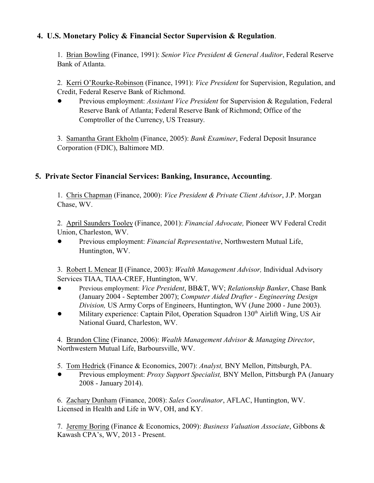## **4. U.S. Monetary Policy & Financial Sector Supervision & Regulation**.

1. Brian Bowling (Finance, 1991): *Senior Vice President & General Auditor*, Federal Reserve Bank of Atlanta.

2. Kerri O'Rourke-Robinson (Finance, 1991): *Vice President* for Supervision, Regulation, and Credit, Federal Reserve Bank of Richmond.

! Previous employment: *Assistant Vice President* for Supervision & Regulation, Federal Reserve Bank of Atlanta; Federal Reserve Bank of Richmond; Office of the Comptroller of the Currency, US Treasury.

3. Samantha Grant Ekholm (Finance, 2005): *Bank Examiner*, Federal Deposit Insurance Corporation (FDIC), Baltimore MD.

## **5. Private Sector Financial Services: Banking, Insurance, Accounting**.

1. Chris Chapman (Finance, 2000): *Vice President & Private Client Advisor*, J.P. Morgan Chase, WV.

2. April Saunders Tooley (Finance, 2001): *Financial Advocate,* Pioneer WV Federal Credit Union, Charleston, WV.

! Previous employment: *Financial Representative*, Northwestern Mutual Life, Huntington, WV.

3. Robert L Menear II (Finance, 2003): *Wealth Management Advisor,* Individual Advisory Services TIAA, TIAA-CREF, Huntington, WV.

- ! Previous employment: *Vice President*, BB&T, WV; *Relationship Banker*, Chase Bank (January 2004 - September 2007); *Computer Aided Drafter - Engineering Design Division,* US Army Corps of Engineers, Huntington, WV (June 2000 - June 2003).
- Military experience: Captain Pilot, Operation Squadron 130<sup>th</sup> Airlift Wing, US Air National Guard, Charleston, WV.

4. Brandon Cline (Finance, 2006): *Wealth Management Advisor* & *Managing Director*, Northwestern Mutual Life, Barboursville, WV.

5. Tom Hedrick (Finance & Economics, 2007): *Analyst,* BNY Mellon, Pittsburgh, PA.

! Previous employment: *Proxy Support Specialist,* BNY Mellon, Pittsburgh PA (January 2008 - January 2014).

6. Zachary Dunham (Finance, 2008): *Sales Coordinator*, AFLAC, Huntington, WV. Licensed in Health and Life in WV, OH, and KY.

7. Jeremy Boring (Finance & Economics, 2009): *Business Valuation Associate*, Gibbons & Kawash CPA's, WV, 2013 - Present.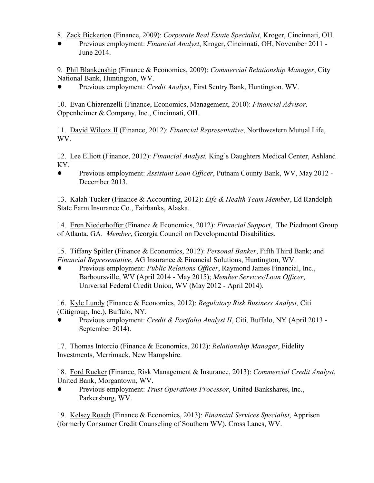8. Zack Bickerton (Finance, 2009): *Corporate Real Estate Specialist*, Kroger, Cincinnati, OH.

! Previous employment: *Financial Analyst*, Kroger, Cincinnati, OH, November 2011 - June 2014.

9. Phil Blankenship (Finance & Economics, 2009): *Commercial Relationship Manager*, City National Bank, Huntington, WV.

! Previous employment: *Credit Analyst*, First Sentry Bank, Huntington. WV.

10. Evan Chiarenzelli (Finance, Economics, Management, 2010): *Financial Advisor,* Oppenheimer & Company, Inc., Cincinnati, OH.

11. David Wilcox II (Finance, 2012): *Financial Representative*, Northwestern Mutual Life, WV.

12. Lee Elliott (Finance, 2012): *Financial Analyst,* King's Daughters Medical Center, Ashland KY.

! Previous employment: *Assistant Loan Officer*, Putnam County Bank, WV, May 2012 - December 2013.

13. Kalah Tucker (Finance & Accounting, 2012): *Life & Health Team Member*, Ed Randolph State Farm Insurance Co., Fairbanks, Alaska.

14. Eren Niederhoffer (Finance & Economics, 2012): *Financial Support*, The Piedmont Group of Atlanta, GA. *Member*, Georgia Council on Developmental Disabilities.

15. Tiffany Spitler (Finance & Economics, 2012): *Personal Banker*, Fifth Third Bank; and *Financial Representative*, AG Insurance & Financial Solutions, Huntington, WV.

! Previous employment: *Public Relations Officer*, Raymond James Financial, Inc., Barboursville, WV (April 2014 - May 2015); *Member Services/Loan Officer*, Universal Federal Credit Union, WV (May 2012 - April 2014).

16. Kyle Lundy (Finance & Economics, 2012): *Regulatory Risk Business Analyst,* Citi (Citigroup, Inc.), Buffalo, NY.

! Previous employment: *Credit & Portfolio Analyst II*, Citi, Buffalo, NY (April 2013 - September 2014).

17. Thomas Intorcio (Finance & Economics, 2012): *Relationship Manager*, Fidelity Investments, Merrimack, New Hampshire.

18. Ford Rucker (Finance, Risk Management & Insurance, 2013): *Commercial Credit Analyst*, United Bank, Morgantown, WV.

! Previous employment: *Trust Operations Processor*, United Bankshares, Inc., Parkersburg, WV.

19. Kelsey Roach (Finance & Economics, 2013): *Financial Services Specialist*, Apprisen (formerly Consumer Credit Counseling of Southern WV), Cross Lanes, WV.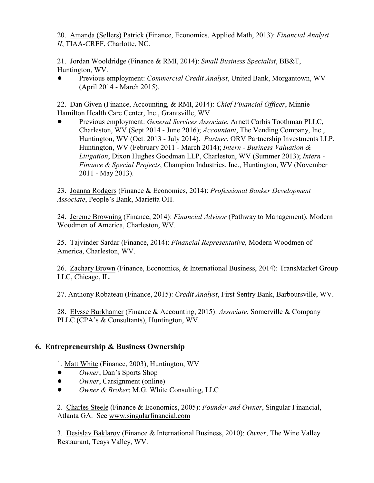20. Amanda (Sellers) Patrick (Finance, Economics, Applied Math, 2013): *Financial Analyst II*, TIAA-CREF, Charlotte, NC.

21. Jordan Wooldridge (Finance & RMI, 2014): *Small Business Specialist*, BB&T, Huntington, WV.

! Previous employment: *Commercial Credit Analyst*, United Bank, Morgantown, WV (April 2014 - March 2015).

22. Dan Given (Finance, Accounting, & RMI, 2014): *Chief Financial Officer*, Minnie Hamilton Health Care Center, Inc., Grantsville, WV

! Previous employment: *General Services Associate*, Arnett Carbis Toothman PLLC, Charleston, WV (Sept 2014 - June 2016); *Accountant*, The Vending Company, Inc., Huntington, WV (Oct. 2013 - July 2014). *Partner*, ORV Partnership Investments LLP, Huntington, WV (February 2011 - March 2014); *Intern - Business Valuation & Litigation*, Dixon Hughes Goodman LLP, Charleston, WV (Summer 2013); *Intern - Finance & Special Projects*, Champion Industries, Inc., Huntington, WV (November 2011 - May 2013).

23. Joanna Rodgers (Finance & Economics, 2014): *Professional Banker Development Associate*, People's Bank, Marietta OH.

24. Jereme Browning (Finance, 2014): *Financial Advisor* (Pathway to Management), Modern Woodmen of America, Charleston, WV.

25. Tajvinder Sardar (Finance, 2014): *Financial Representative,* Modern Woodmen of America, Charleston, WV.

26. Zachary Brown (Finance, Economics, & International Business, 2014): TransMarket Group LLC, Chicago, IL.

27. Anthony Robateau (Finance, 2015): *Credit Analyst*, First Sentry Bank, Barboursville, WV.

28. Elysse Burkhamer (Finance & Accounting, 2015): *Associate*, Somerville & Company PLLC (CPA's & Consultants), Huntington, WV.

# **6. Entrepreneurship & Business Ownership**

1. Matt White (Finance, 2003), Huntington, WV

- ! *Owner*, Dan's Sports Shop
- *Owner*, Carsignment (online)
- ! *Owner & Broker*; M.G. White Consulting, LLC

2. Charles Steele (Finance & Economics, 2005): *Founder and Owner*, Singular Financial, Atlanta GA. See [www.singularfinancial.com](http://www.singularfinancial.com)

3. Desislav Baklarov (Finance & International Business, 2010): *Owner*, The Wine Valley Restaurant, Teays Valley, WV.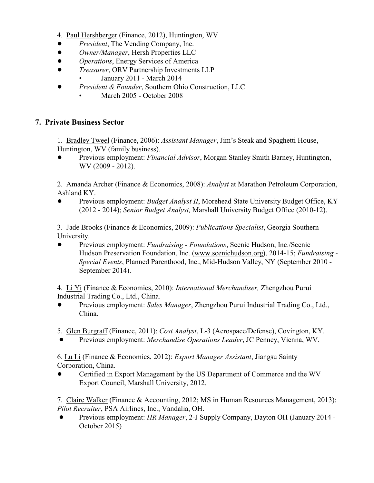- 4. Paul Hershberger (Finance, 2012), Huntington, WV
- ! *President*, The Vending Company, Inc.
- ! *Owner/Manager*, Hersh Properties LLC
- ! *Operations*, Energy Services of America
- ! *Treasurer*, ORV Partnership Investments LLP
	- January 2011 March 2014
- ! *President & Founder*, Southern Ohio Construction, LLC
	- March 2005 October 2008

## **7. Private Business Sector**

1. Bradley Tweel (Finance, 2006): *Assistant Manager*, Jim's Steak and Spaghetti House, Huntington, WV (family business).

! Previous employment: *Financial Advisor*, Morgan Stanley Smith Barney, Huntington, WV (2009 - 2012).

2. Amanda Archer (Finance & Economics, 2008): *Analyst* at Marathon Petroleum Corporation, Ashland KY.

Previous employment: *Budget Analyst II*, Morehead State University Budget Office, KY (2012 - 2014); *Senior Budget Analyst,* Marshall University Budget Office (2010-12).

3. Jade Brooks (Finance & Economics, 2009): *Publications Specialist*, Georgia Southern University.

! Previous employment: *Fundraising - Foundations*, Scenic Hudson, Inc./Scenic Hudson Preservation Foundation, Inc. [\(www.scenichudson.org](http://www.scenichudson.org))), 2014-15; *Fundraising - Special Events*, Planned Parenthood, Inc., Mid-Hudson Valley, NY (September 2010 - September 2014).

4. Li Yi (Finance & Economics, 2010): *International Merchandiser,* Zhengzhou Purui Industrial Trading Co., Ltd., China.

- ! Previous employment: *Sales Manager*, Zhengzhou Purui Industrial Trading Co., Ltd., China.
- 5. Glen Burgraff (Finance, 2011): *Cost Analyst*, L-3 (Aerospace/Defense), Covington, KY.
- ! Previous employment: *Merchandise Operations Leader*, JC Penney, Vienna, WV.

6. Lu Li (Finance & Economics, 2012): *Export Manager Assistant*, Jiangsu Sainty Corporation, China.

! Certified in Export Management by the US Department of Commerce and the WV Export Council, Marshall University, 2012.

7. Claire Walker (Finance & Accounting, 2012; MS in Human Resources Management, 2013): *Pilot Recruiter*, PSA Airlines, Inc., Vandalia, OH.

! Previous employment: *HR Manager*, 2-J Supply Company, Dayton OH (January 2014 - October 2015)